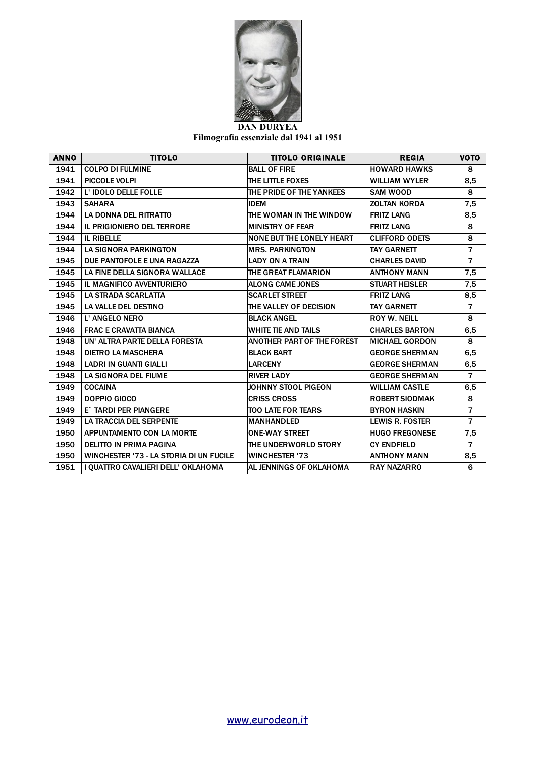

**Filmografia essenziale dal 1941 al 1951**

| <b>ANNO</b> | <b>TITOLO</b>                           | <b>TITOLO ORIGINALE</b>           | <b>REGIA</b>           | <b>VOTO</b>    |
|-------------|-----------------------------------------|-----------------------------------|------------------------|----------------|
| 1941        | <b>COLPO DI FULMINE</b>                 | <b>BALL OF FIRE</b>               | <b>HOWARD HAWKS</b>    | 8              |
| 1941        | <b>PICCOLE VOLPI</b>                    | THE LITTLE FOXES                  | WILLIAM WYLER          | 8,5            |
| 1942        | L' IDOLO DELLE FOLLE                    | THE PRIDE OF THE YANKEES          | <b>ISAM WOOD</b>       | 8              |
| 1943        | <b>SAHARA</b>                           | <b>IDEM</b>                       | <b>ZOLTAN KORDA</b>    | 7,5            |
| 1944        | <b>LA DONNA DEL RITRATTO</b>            | THE WOMAN IN THE WINDOW           | <b>FRITZ LANG</b>      | 8,5            |
| 1944        | IL PRIGIONIERO DEL TERRORE              | <b>MINISTRY OF FEAR</b>           | <b>FRITZ LANG</b>      | 8              |
| 1944        | <b>IL RIBELLE</b>                       | NONE BUT THE LONELY HEART         | <b>CLIFFORD ODETS</b>  | 8              |
| 1944        | <b>LA SIGNORA PARKINGTON</b>            | <b>MRS. PARKINGTON</b>            | <b>TAY GARNETT</b>     | $\overline{7}$ |
| 1945        | DUE PANTOFOLE E UNA RAGAZZA             | LADY ON A TRAIN                   | <b>CHARLES DAVID</b>   | $\overline{7}$ |
| 1945        | LA FINE DELLA SIGNORA WALLACE           | THE GREAT FLAMARION               | <b>ANTHONY MANN</b>    | 7,5            |
| 1945        | IL MAGNIFICO AVVENTURIERO               | <b>ALONG CAME JONES</b>           | <b>STUART HEISLER</b>  | 7,5            |
| 1945        | LA STRADA SCARLATTA                     | <b>SCARLET STREET</b>             | <b>FRITZ LANG</b>      | 8,5            |
| 1945        | LA VALLE DEL DESTINO                    | THE VALLEY OF DECISION            | <b>TAY GARNETT</b>     | $\overline{7}$ |
| 1946        | L' ANGELO NERO                          | <b>BLACK ANGEL</b>                | <b>ROY W. NEILL</b>    | 8              |
| 1946        | <b>FRAC E CRAVATTA BIANCA</b>           | WHITE TIE AND TAILS               | <b>CHARLES BARTON</b>  | 6,5            |
| 1948        | UN' ALTRA PARTE DELLA FORESTA           | <b>ANOTHER PART OF THE FOREST</b> | <b>MICHAEL GORDON</b>  | 8              |
| 1948        | <b>DIETRO LA MASCHERA</b>               | <b>BLACK BART</b>                 | <b>GEORGE SHERMAN</b>  | 6,5            |
| 1948        | <b>LADRI IN GUANTI GIALLI</b>           | <b>LARCENY</b>                    | <b>GEORGE SHERMAN</b>  | 6,5            |
| 1948        | LA SIGNORA DEL FIUME                    | <b>RIVER LADY</b>                 | <b>GEORGE SHERMAN</b>  | $\overline{7}$ |
| 1949        | <b>COCAINA</b>                          | JOHNNY STOOL PIGEON               | <b>WILLIAM CASTLE</b>  | 6,5            |
| 1949        | <b>DOPPIO GIOCO</b>                     | <b>CRISS CROSS</b>                | <b>ROBERT SIODMAK</b>  | 8              |
| 1949        | E` TARDI PER PIANGERE                   | <b>TOO LATE FOR TEARS</b>         | <b>BYRON HASKIN</b>    | $\overline{7}$ |
| 1949        | <b>LA TRACCIA DEL SERPENTE</b>          | <b>MANHANDLED</b>                 | <b>LEWIS R. FOSTER</b> | $\overline{7}$ |
| 1950        | APPUNTAMENTO CON LA MORTE               | <b>ONE-WAY STREET</b>             | <b>HUGO FREGONESE</b>  | 7,5            |
| 1950        | <b>DELITTO IN PRIMA PAGINA</b>          | THE UNDERWORLD STORY              | <b>CY ENDFIELD</b>     | $\overline{7}$ |
| 1950        | WINCHESTER '73 - LA STORIA DI UN FUCILE | <b>WINCHESTER '73</b>             | <b>ANTHONY MANN</b>    | 8,5            |
| 1951        | I QUATTRO CAVALIERI DELL' OKLAHOMA      | AL JENNINGS OF OKLAHOMA           | <b>RAY NAZARRO</b>     | 6              |